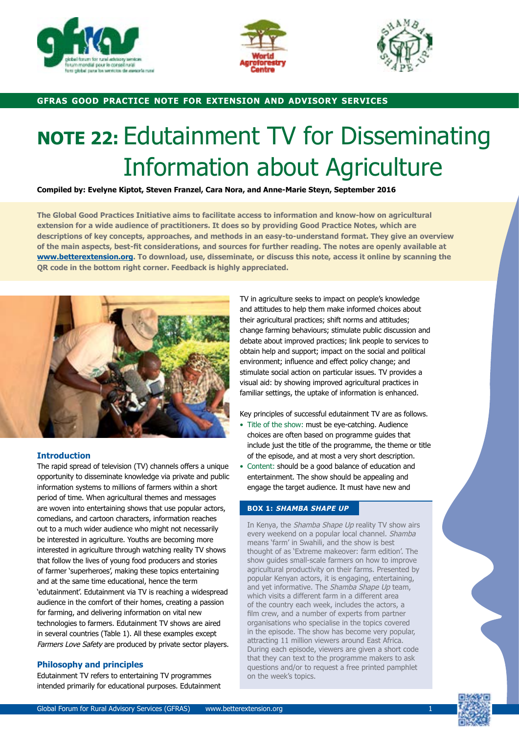





## **gfras good practice note for extension and advisory services**

# **NOTE 22:** Edutainment TV for Disseminating Information about Agriculture

**Compiled by: Evelyne Kiptot, Steven Franzel, Cara Nora, and Anne-Marie Steyn, September 2016**

**The Global Good Practices Initiative aims to facilitate access to information and know-how on agricultural extension for a wide audience of practitioners. It does so by providing Good Practice Notes, which are descriptions of key concepts, approaches, and methods in an easy-to-understand format. They give an overview of the main aspects, best-fit considerations, and sources for further reading. The notes are openly available at www.betterextension.org. To download, use, disseminate, or discuss this note, access it online by scanning the QR code in the bottom right corner. Feedback is highly appreciated.**



## **Introduction**

The rapid spread of television (TV) channels offers a unique opportunity to disseminate knowledge via private and public information systems to millions of farmers within a short period of time. When agricultural themes and messages are woven into entertaining shows that use popular actors, comedians, and cartoon characters, information reaches out to a much wider audience who might not necessarily be interested in agriculture. Youths are becoming more interested in agriculture through watching reality TV shows that follow the lives of young food producers and stories of farmer 'superheroes', making these topics entertaining and at the same time educational, hence the term 'edutainment'. Edutainment via TV is reaching a widespread audience in the comfort of their homes, creating a passion for farming, and delivering information on vital new technologies to farmers. Edutainment TV shows are aired in several countries (Table 1). All these examples except Farmers Love Safety are produced by private sector players.

## **Philosophy and principles**

Edutainment TV refers to entertaining TV programmes intended primarily for educational purposes. Edutainment TV in agriculture seeks to impact on people's knowledge and attitudes to help them make informed choices about their agricultural practices; shift norms and attitudes; change farming behaviours; stimulate public discussion and debate about improved practices; link people to services to obtain help and support; impact on the social and political environment; influence and effect policy change; and stimulate social action on particular issues. TV provides a visual aid: by showing improved agricultural practices in familiar settings, the uptake of information is enhanced.

Key principles of successful edutainment TV are as follows.

- Title of the show: must be eye-catching. Audience choices are often based on programme guides that include just the title of the programme, the theme or title of the episode, and at most a very short description.
- Content: should be a good balance of education and entertainment. The show should be appealing and engage the target audience. It must have new and

## **BOX 1: SHAMBA SHAPE UP**

In Kenya, the Shamba Shape Up reality TV show airs every weekend on a popular local channel. Shamba means 'farm' in Swahili, and the show is best thought of as 'Extreme makeover: farm edition'. The show guides small-scale farmers on how to improve agricultural productivity on their farms. Presented by popular Kenyan actors, it is engaging, entertaining, and yet informative. The Shamba Shape Up team, which visits a different farm in a different area of the country each week, includes the actors, a film crew, and a number of experts from partner organisations who specialise in the topics covered in the episode. The show has become very popular, attracting 11 million viewers around East Africa. During each episode, viewers are given a short code that they can text to the programme makers to ask questions and/or to request a free printed pamphlet on the week's topics.

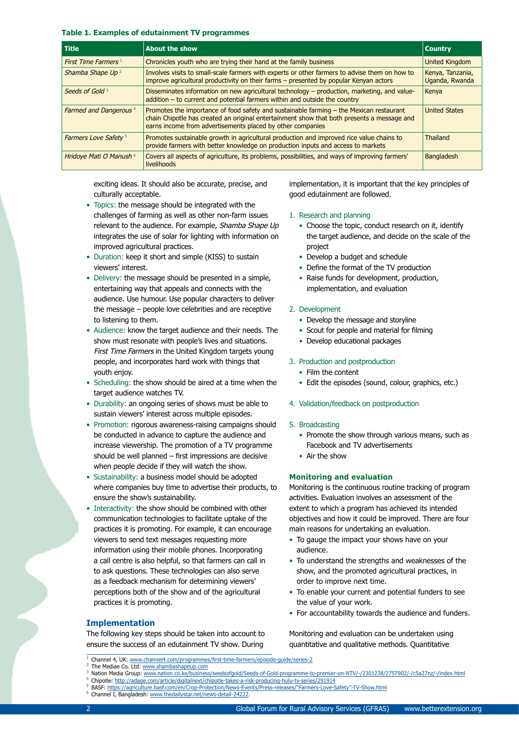#### **Table 1. Examples of edutainment TV programmes**

| <b>Title</b>                           | <b>About the show</b>                                                                                                                                                                                                                               | <b>Country</b>                     |
|----------------------------------------|-----------------------------------------------------------------------------------------------------------------------------------------------------------------------------------------------------------------------------------------------------|------------------------------------|
| First Time Farmers <sup>1</sup>        | Chronicles youth who are trying their hand at the family business                                                                                                                                                                                   | <b>United Kingdom</b>              |
| Shamba Shape Up <sup>2</sup>           | Involves visits to small-scale farmers with experts or other farmers to advise them on how to<br>improve agricultural productivity on their farms - presented by popular Kenyan actors                                                              | Kenya, Tanzania,<br>Uganda, Rwanda |
| Seeds of Gold <sup>3</sup>             | Disseminates information on new agricultural technology – production, marketing, and value-<br>$addition - to current and potential farmers within and outside the country$                                                                         | Kenya                              |
| Farmed and Dangerous <sup>4</sup>      | Promotes the importance of food safety and sustainable farming – the Mexican restaurant<br>chain Chipotle has created an original entertainment show that both presents a message and<br>earns income from advertisements placed by other companies | <b>United States</b>               |
| <b>Farmers Love Safety<sup>5</sup></b> | Promotes sustainable growth in agricultural production and improved rice value chains to<br>provide farmers with better knowledge on production inputs and access to markets                                                                        | <b>Thailand</b>                    |
| Hridoye Mati O Manush 6                | Covers all aspects of agriculture, its problems, possibilities, and ways of improving farmers'<br>livelihoods                                                                                                                                       | <b>Bangladesh</b>                  |

exciting ideas. It should also be accurate, precise, and culturally acceptable.

- Topics: the message should be integrated with the challenges of farming as well as other non-farm issues relevant to the audience. For example, Shamba Shape Up integrates the use of solar for lighting with information on improved agricultural practices.
- Duration: keep it short and simple (KISS) to sustain viewers' interest.
- Delivery: the message should be presented in a simple, entertaining way that appeals and connects with the audience. Use humour. Use popular characters to deliver the message – people love celebrities and are receptive to listening to them.
- Audience: know the target audience and their needs. The show must resonate with people's lives and situations. First Time Farmers in the United Kingdom targets young people, and incorporates hard work with things that youth enjoy.
- Scheduling: the show should be aired at a time when the target audience watches TV.
- Durability: an ongoing series of shows must be able to sustain viewers' interest across multiple episodes.
- Promotion: rigorous awareness-raising campaigns should be conducted in advance to capture the audience and increase viewership. The promotion of a TV programme should be well planned – first impressions are decisive when people decide if they will watch the show.
- Sustainability: a business model should be adopted where companies buy time to advertise their products, to ensure the show's sustainability.
- Interactivity: the show should be combined with other communication technologies to facilitate uptake of the practices it is promoting. For example, it can encourage viewers to send text messages requesting more information using their mobile phones. Incorporating a call centre is also helpful, so that farmers can call in to ask questions. These technologies can also serve as a feedback mechanism for determining viewers' perceptions both of the show and of the agricultural practices it is promoting.

## **Implementation**

The following key steps should be taken into account to ensure the success of an edutainment TV show. During

implementation, it is important that the key principles of good edutainment are followed.

## 1. Research and planning

- Choose the topic, conduct research on it, identify the target audience, and decide on the scale of the project
- Develop a budget and schedule
- Define the format of the TV production
- Raise funds for development, production, implementation, and evaluation

#### 2. Development

- Develop the message and storyline
- Scout for people and material for filming
- Develop educational packages

#### 3. Production and postproduction

- Film the content
- Edit the episodes (sound, colour, graphics, etc.)

#### 4. Validation/feedback on postproduction

#### 5. Broadcasting

- Promote the show through various means, such as Facebook and TV advertisements
- Air the show

#### **Monitoring and evaluation**

Monitoring is the continuous routine tracking of program activities. Evaluation involves an assessment of the extent to which a program has achieved its intended objectives and how it could be improved. There are four main reasons for undertaking an evaluation.

- To gauge the impact your shows have on your audience.
- To understand the strengths and weaknesses of the show, and the promoted agricultural practices, in order to improve next time.
- To enable your current and potential funders to see the value of your work.
- For accountability towards the audience and funders.

Monitoring and evaluation can be undertaken using quantitative and qualitative methods. Quantitative

- <sup>1</sup> Channel 4, UK: www.channel4.com/programmes/first-time-farmers/episode-guide/series-2
- The Mediae Co. Ltd: www.shambashapeup.com Nation Media Group: www.nation.co.ke/business/seedsofgold/Seeds-of-Gold-programme-to-premier-on-NTV/-/2301238/2757902/-/c5a27nz/-/index.html
- <sup>4</sup> Chipotle: http://adage.com/article/digitalnext/chipotle-takes-a-risk-producing-hulu-tv-series/291914
- 
- <sup>5</sup> BASF: https://agriculture.basf.com/en/Crop-Protection/News-Events/Press-releases/"Farmers-Love-Safety"-TV-Show.html
	- <sup>6</sup> Channel I, Bangladesh: www.thedailystar.net/news-detail-24222.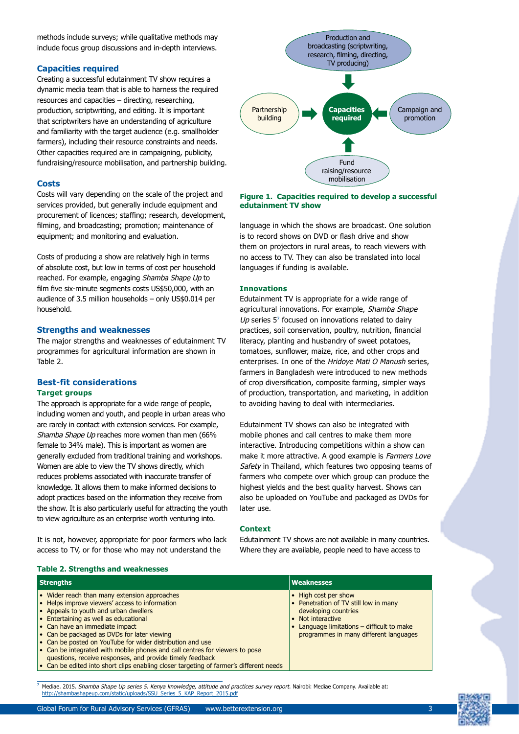methods include surveys; while qualitative methods may include focus group discussions and in-depth interviews.

## **Capacities required**

Creating a successful edutainment TV show requires a dynamic media team that is able to harness the required resources and capacities – directing, researching, production, scriptwriting, and editing. It is important that scriptwriters have an understanding of agriculture and familiarity with the target audience (e.g. smallholder farmers), including their resource constraints and needs. Other capacities required are in campaigning, publicity, fundraising/resource mobilisation, and partnership building.

#### **Costs**

Costs will vary depending on the scale of the project and services provided, but generally include equipment and procurement of licences; staffing; research, development, filming, and broadcasting; promotion; maintenance of equipment; and monitoring and evaluation.

Costs of producing a show are relatively high in terms of absolute cost, but low in terms of cost per household reached. For example, engaging Shamba Shape Up to film five six-minute segments costs US\$50,000, with an audience of 3.5 million households – only US\$0.014 per household.

## **Strengths and weaknesses**

The major strengths and weaknesses of edutainment TV programmes for agricultural information are shown in Table 2.

## **Best-fit considerations Target groups**

The approach is appropriate for a wide range of people, including women and youth, and people in urban areas who are rarely in contact with extension services. For example, Shamba Shape Up reaches more women than men (66% female to 34% male). This is important as women are generally excluded from traditional training and workshops. Women are able to view the TV shows directly, which reduces problems associated with inaccurate transfer of knowledge. It allows them to make informed decisions to adopt practices based on the information they receive from the show. It is also particularly useful for attracting the youth to view agriculture as an enterprise worth venturing into.

It is not, however, appropriate for poor farmers who lack access to TV, or for those who may not understand the

**Table 2. Strengths and weaknesses**



#### **Figure 1. Capacities required to develop a successful edutainment TV show**

language in which the shows are broadcast. One solution is to record shows on DVD or flash drive and show them on projectors in rural areas, to reach viewers with no access to TV. They can also be translated into local languages if funding is available.

#### **Innovations**

Edutainment TV is appropriate for a wide range of agricultural innovations. For example, Shamba Shape Up series  $5<sup>7</sup>$  focused on innovations related to dairy practices, soil conservation, poultry, nutrition, financial literacy, planting and husbandry of sweet potatoes, tomatoes, sunflower, maize, rice, and other crops and enterprises. In one of the Hridoye Mati O Manush series, farmers in Bangladesh were introduced to new methods of crop diversification, composite farming, simpler ways of production, transportation, and marketing, in addition to avoiding having to deal with intermediaries.

Edutainment TV shows can also be integrated with mobile phones and call centres to make them more interactive. Introducing competitions within a show can make it more attractive. A good example is Farmers Love Safety in Thailand, which features two opposing teams of farmers who compete over which group can produce the highest yields and the best quality harvest. Shows can also be uploaded on YouTube and packaged as DVDs for later use.

#### **Context**

Edutainment TV shows are not available in many countries. Where they are available, people need to have access to

| <b>Strengths</b>                                                                                                                                                                                                                                                                                                                                                                                                                                                                                                                                                                     | <b>Weaknesses</b>                                                                                                                                                                                  |  |  |
|--------------------------------------------------------------------------------------------------------------------------------------------------------------------------------------------------------------------------------------------------------------------------------------------------------------------------------------------------------------------------------------------------------------------------------------------------------------------------------------------------------------------------------------------------------------------------------------|----------------------------------------------------------------------------------------------------------------------------------------------------------------------------------------------------|--|--|
| • Wider reach than many extension approaches<br>• Helps improve viewers' access to information<br>$\bullet$ Appeals to youth and urban dwellers<br>$\bullet$ Entertaining as well as educational<br>• Can have an immediate impact<br>• Can be packaged as DVDs for later viewing<br>• Can be posted on YouTube for wider distribution and use<br>• Can be integrated with mobile phones and call centres for viewers to pose<br>questions, receive responses, and provide timely feedback<br>• Can be edited into short clips enabling closer targeting of farmer's different needs | • High cost per show<br>• Penetration of TV still low in many<br>developing countries<br>• Not interactive<br>• Language limitations – difficult to make<br>programmes in many different languages |  |  |

Mediae. 2015. Shamba Shape Up series 5. Kenya knowledge, attitude and practices survey report. Nairobi: Mediae Company. Available at: http://shambashapeup.com/static/uploads/SSU\_Series\_5\_KAP\_Report\_2015.pdf